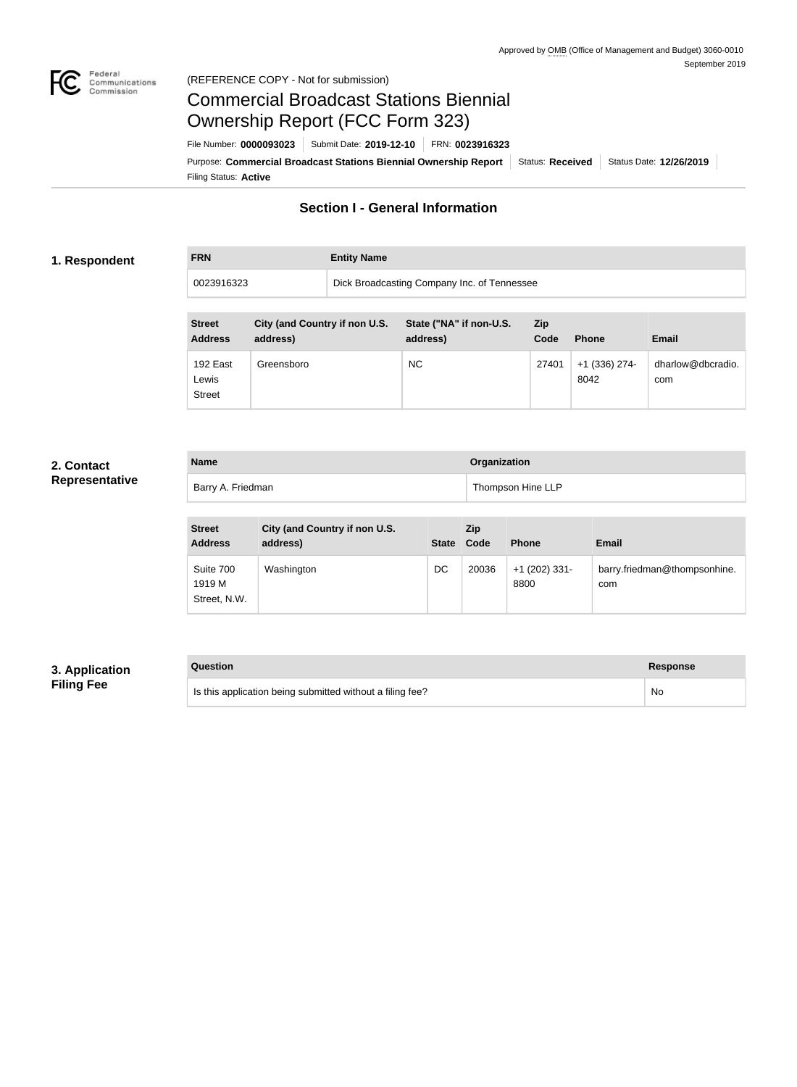

### Federal<br>Communications<br>Commission (REFERENCE COPY - Not for submission)

# Commercial Broadcast Stations Biennial Ownership Report (FCC Form 323)

Filing Status: **Active** Purpose: Commercial Broadcast Stations Biennial Ownership Report Status: Received Status Date: 12/26/2019 File Number: **0000093023** Submit Date: **2019-12-10** FRN: **0023916323**

## **Section I - General Information**

### **1. Respondent**

**FRN Entity Name** 0023916323 Dick Broadcasting Company Inc. of Tennessee

| <b>Street</b><br><b>Address</b>    | City (and Country if non U.S.<br>address) | State ("NA" if non-U.S.<br>address) | Zip<br>Code | <b>Phone</b>            | <b>Email</b>             |
|------------------------------------|-------------------------------------------|-------------------------------------|-------------|-------------------------|--------------------------|
| 192 East<br>Lewis<br><b>Street</b> | Greensboro                                | <b>NC</b>                           | 27401       | $+1$ (336) 274-<br>8042 | dharlow@dbcradio.<br>com |

## **2. Contact Representative**

| <b>Name</b>       | Organization      |
|-------------------|-------------------|
| Barry A. Friedman | Thompson Hine LLP |

| <b>Street</b><br><b>Address</b>     | City (and Country if non U.S.<br>address) |    | <b>Zip</b><br>State Code | <b>Phone</b>            | <b>Email</b>                        |
|-------------------------------------|-------------------------------------------|----|--------------------------|-------------------------|-------------------------------------|
| Suite 700<br>1919 M<br>Street, N.W. | Washington                                | DC | 20036                    | $+1$ (202) 331-<br>8800 | barry.friedman@thompsonhine.<br>com |

## **3. Application Filing Fee**

#### **Question Response**

Is this application being submitted without a filing fee? No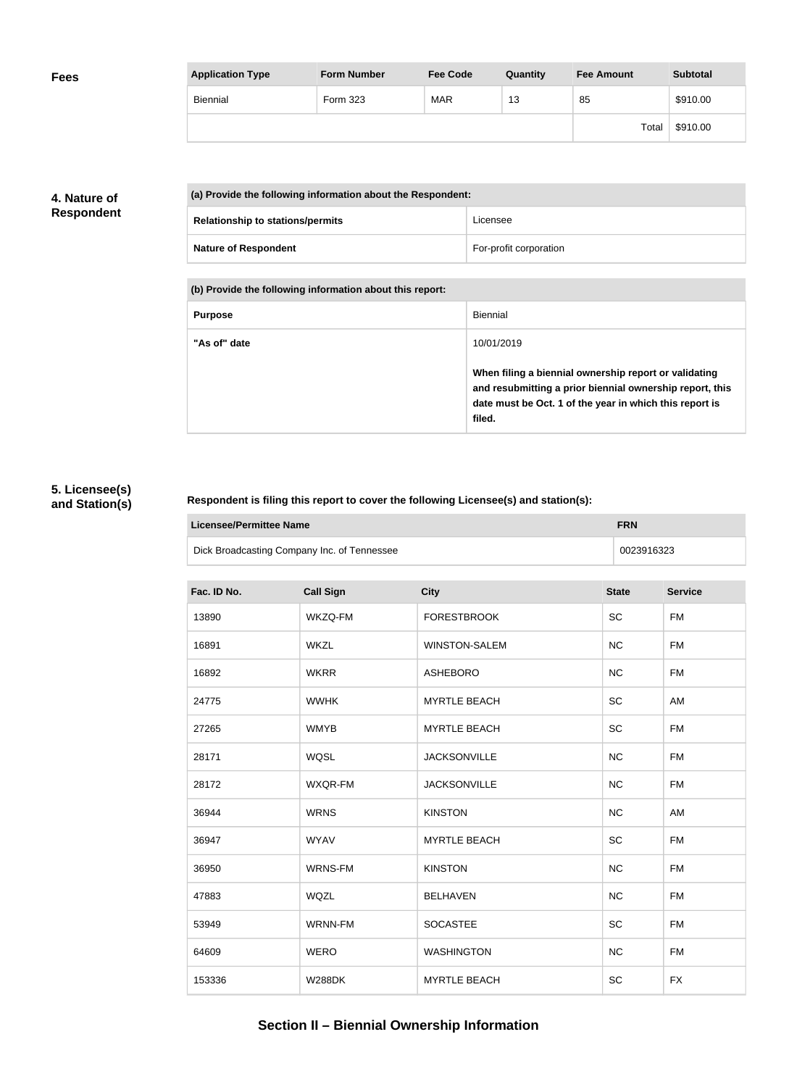| <b>Fees</b> | <b>Application Type</b> | <b>Form Number</b> | <b>Fee Code</b> | Quantity | <b>Fee Amount</b> | <b>Subtotal</b> |
|-------------|-------------------------|--------------------|-----------------|----------|-------------------|-----------------|
|             | Biennial                | Form 323           | <b>MAR</b>      | 13       | 85                | \$910.00        |
|             |                         |                    |                 |          | Total             | \$910.00        |

## **4. Nature of Respondent**

| (a) Provide the following information about the Respondent: |                        |
|-------------------------------------------------------------|------------------------|
| <b>Relationship to stations/permits</b>                     | Licensee               |
| <b>Nature of Respondent</b>                                 | For-profit corporation |

**(b) Provide the following information about this report:**

| <b>Purpose</b> | Biennial                                                                                                                                                                               |
|----------------|----------------------------------------------------------------------------------------------------------------------------------------------------------------------------------------|
| "As of" date   | 10/01/2019                                                                                                                                                                             |
|                | When filing a biennial ownership report or validating<br>and resubmitting a prior biennial ownership report, this<br>date must be Oct. 1 of the year in which this report is<br>filed. |

## **5. Licensee(s) and Station(s)**

### **Respondent is filing this report to cover the following Licensee(s) and station(s):**

| Licensee/Permittee Name                     | <b>FRN</b> |
|---------------------------------------------|------------|
| Dick Broadcasting Company Inc. of Tennessee | 0023916323 |

| Fac. ID No. | <b>Call Sign</b> | <b>City</b>          | <b>State</b> | <b>Service</b> |
|-------------|------------------|----------------------|--------------|----------------|
| 13890       | WKZQ-FM          | <b>FORESTBROOK</b>   | SC           | <b>FM</b>      |
| 16891       | <b>WKZL</b>      | <b>WINSTON-SALEM</b> | <b>NC</b>    | <b>FM</b>      |
| 16892       | <b>WKRR</b>      | <b>ASHEBORO</b>      | NC           | <b>FM</b>      |
| 24775       | <b>WWHK</b>      | <b>MYRTLE BEACH</b>  | SC           | AM             |
| 27265       | <b>WMYB</b>      | <b>MYRTLE BEACH</b>  | SC           | <b>FM</b>      |
| 28171       | <b>WQSL</b>      | <b>JACKSONVILLE</b>  | <b>NC</b>    | <b>FM</b>      |
| 28172       | WXQR-FM          | <b>JACKSONVILLE</b>  | <b>NC</b>    | <b>FM</b>      |
| 36944       | <b>WRNS</b>      | <b>KINSTON</b>       | <b>NC</b>    | AM             |
| 36947       | <b>WYAV</b>      | <b>MYRTLE BEACH</b>  | SC           | <b>FM</b>      |
| 36950       | <b>WRNS-FM</b>   | <b>KINSTON</b>       | <b>NC</b>    | <b>FM</b>      |
| 47883       | WQZL             | <b>BELHAVEN</b>      | <b>NC</b>    | <b>FM</b>      |
| 53949       | WRNN-FM          | <b>SOCASTEE</b>      | SC           | <b>FM</b>      |
| 64609       | <b>WERO</b>      | <b>WASHINGTON</b>    | NC           | <b>FM</b>      |
| 153336      | <b>W288DK</b>    | <b>MYRTLE BEACH</b>  | SC           | <b>FX</b>      |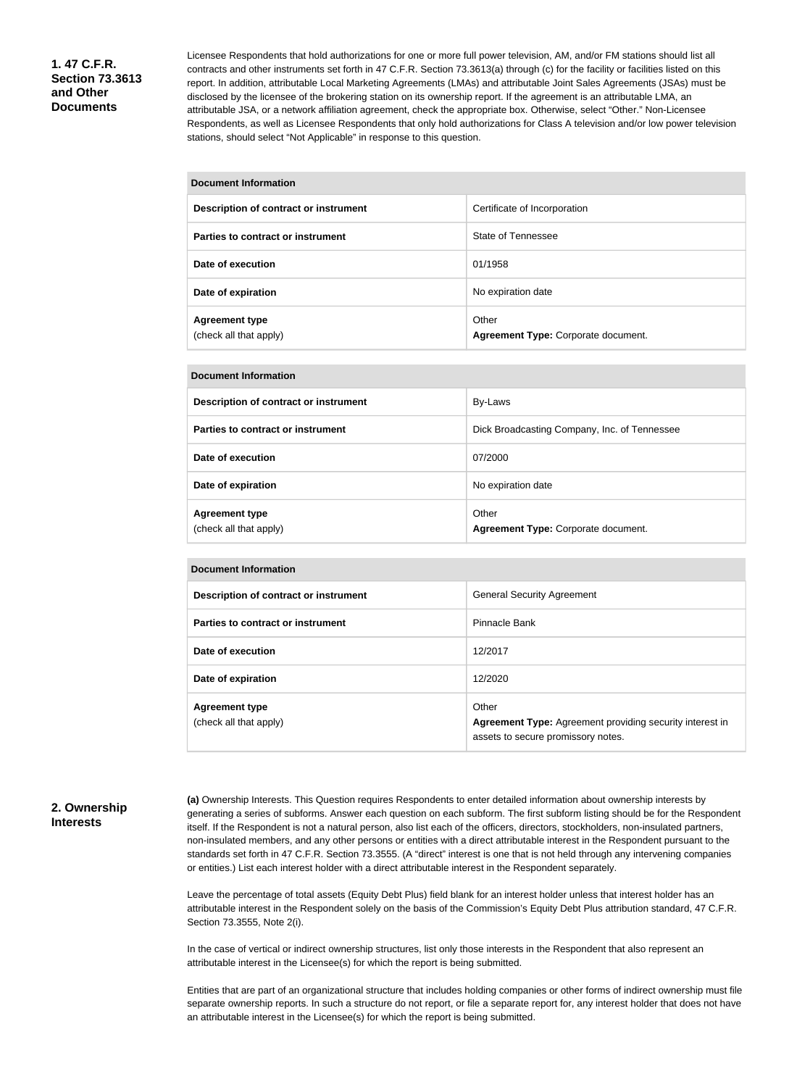**1. 47 C.F.R. Section 73.3613 and Other Documents**

Licensee Respondents that hold authorizations for one or more full power television, AM, and/or FM stations should list all contracts and other instruments set forth in 47 C.F.R. Section 73.3613(a) through (c) for the facility or facilities listed on this report. In addition, attributable Local Marketing Agreements (LMAs) and attributable Joint Sales Agreements (JSAs) must be disclosed by the licensee of the brokering station on its ownership report. If the agreement is an attributable LMA, an attributable JSA, or a network affiliation agreement, check the appropriate box. Otherwise, select "Other." Non-Licensee Respondents, as well as Licensee Respondents that only hold authorizations for Class A television and/or low power television stations, should select "Not Applicable" in response to this question.

| Document Information |  |
|----------------------|--|
|----------------------|--|

| Description of contract or instrument           | Certificate of Incorporation                 |
|-------------------------------------------------|----------------------------------------------|
| Parties to contract or instrument               | State of Tennessee                           |
| Date of execution                               | 01/1958                                      |
| Date of expiration                              | No expiration date                           |
| <b>Agreement type</b><br>(check all that apply) | Other<br>Agreement Type: Corporate document. |

| <b>Document Information</b>                     |                                              |  |  |
|-------------------------------------------------|----------------------------------------------|--|--|
| Description of contract or instrument           | By-Laws                                      |  |  |
| Parties to contract or instrument               | Dick Broadcasting Company, Inc. of Tennessee |  |  |
| Date of execution                               | 07/2000                                      |  |  |
| Date of expiration                              | No expiration date                           |  |  |
| <b>Agreement type</b><br>(check all that apply) | Other<br>Agreement Type: Corporate document. |  |  |

| Document Information                            |                                                                                                                |
|-------------------------------------------------|----------------------------------------------------------------------------------------------------------------|
| Description of contract or instrument           | <b>General Security Agreement</b>                                                                              |
| Parties to contract or instrument               | Pinnacle Bank                                                                                                  |
| Date of execution                               | 12/2017                                                                                                        |
| Date of expiration                              | 12/2020                                                                                                        |
| <b>Agreement type</b><br>(check all that apply) | Other<br><b>Agreement Type:</b> Agreement providing security interest in<br>assets to secure promissory notes. |

#### **2. Ownership Interests**

**(a)** Ownership Interests. This Question requires Respondents to enter detailed information about ownership interests by generating a series of subforms. Answer each question on each subform. The first subform listing should be for the Respondent itself. If the Respondent is not a natural person, also list each of the officers, directors, stockholders, non-insulated partners, non-insulated members, and any other persons or entities with a direct attributable interest in the Respondent pursuant to the standards set forth in 47 C.F.R. Section 73.3555. (A "direct" interest is one that is not held through any intervening companies or entities.) List each interest holder with a direct attributable interest in the Respondent separately.

Leave the percentage of total assets (Equity Debt Plus) field blank for an interest holder unless that interest holder has an attributable interest in the Respondent solely on the basis of the Commission's Equity Debt Plus attribution standard, 47 C.F.R. Section 73.3555, Note 2(i).

In the case of vertical or indirect ownership structures, list only those interests in the Respondent that also represent an attributable interest in the Licensee(s) for which the report is being submitted.

Entities that are part of an organizational structure that includes holding companies or other forms of indirect ownership must file separate ownership reports. In such a structure do not report, or file a separate report for, any interest holder that does not have an attributable interest in the Licensee(s) for which the report is being submitted.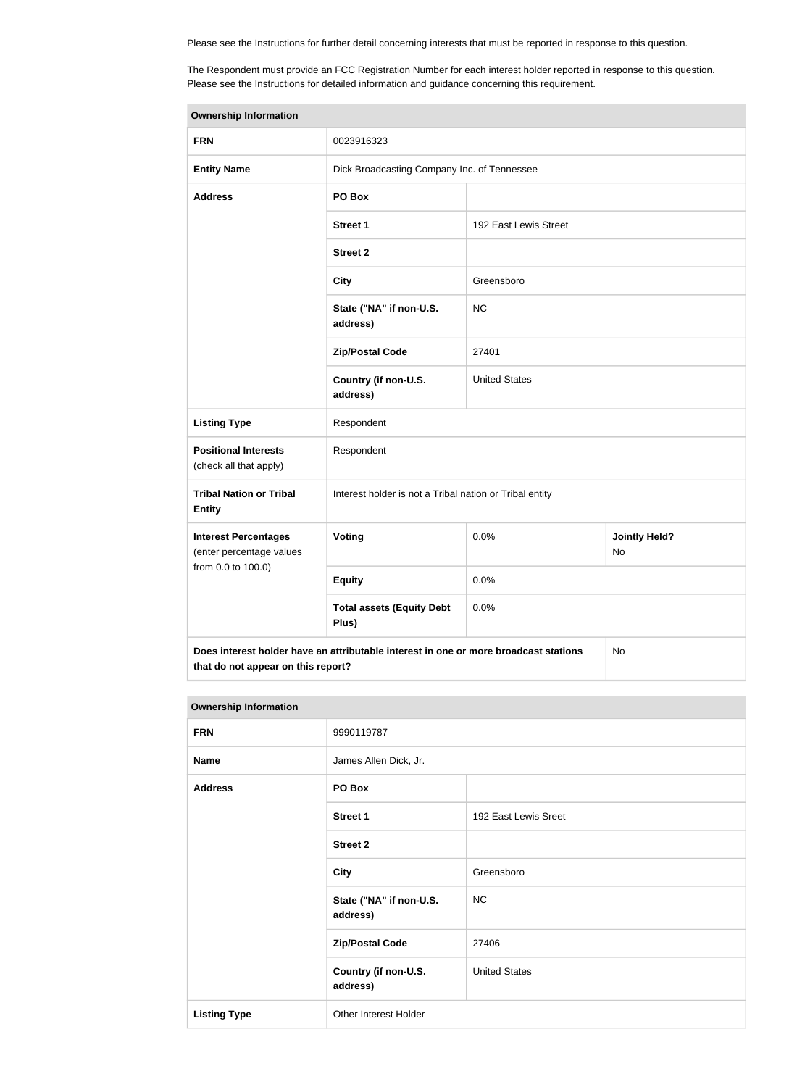Please see the Instructions for further detail concerning interests that must be reported in response to this question.

The Respondent must provide an FCC Registration Number for each interest holder reported in response to this question. Please see the Instructions for detailed information and guidance concerning this requirement.

| <b>Ownership Information</b>                            |                                                                                      |                       |                            |
|---------------------------------------------------------|--------------------------------------------------------------------------------------|-----------------------|----------------------------|
| <b>FRN</b>                                              | 0023916323                                                                           |                       |                            |
| <b>Entity Name</b>                                      | Dick Broadcasting Company Inc. of Tennessee                                          |                       |                            |
| <b>Address</b>                                          | PO Box                                                                               |                       |                            |
|                                                         | <b>Street 1</b>                                                                      | 192 East Lewis Street |                            |
|                                                         | <b>Street 2</b>                                                                      |                       |                            |
|                                                         | <b>City</b>                                                                          | Greensboro            |                            |
|                                                         | State ("NA" if non-U.S.<br>address)                                                  | <b>NC</b>             |                            |
|                                                         | <b>Zip/Postal Code</b>                                                               | 27401                 |                            |
|                                                         | Country (if non-U.S.<br>address)                                                     | <b>United States</b>  |                            |
| <b>Listing Type</b>                                     | Respondent                                                                           |                       |                            |
| <b>Positional Interests</b><br>(check all that apply)   | Respondent                                                                           |                       |                            |
| <b>Tribal Nation or Tribal</b><br><b>Entity</b>         | Interest holder is not a Tribal nation or Tribal entity                              |                       |                            |
| <b>Interest Percentages</b><br>(enter percentage values | Voting                                                                               | 0.0%                  | <b>Jointly Held?</b><br>No |
| from 0.0 to 100.0)                                      | <b>Equity</b>                                                                        | 0.0%                  |                            |
|                                                         | <b>Total assets (Equity Debt</b><br>Plus)                                            | 0.0%                  |                            |
|                                                         | Does interest holder have an attributable interest in one or more broadcast stations |                       | No                         |

| <b>Ownership Information</b> |                                     |                      |
|------------------------------|-------------------------------------|----------------------|
| <b>FRN</b>                   | 9990119787                          |                      |
| <b>Name</b>                  | James Allen Dick, Jr.               |                      |
| <b>Address</b>               | PO Box                              |                      |
|                              | <b>Street 1</b>                     | 192 East Lewis Sreet |
|                              | <b>Street 2</b>                     |                      |
|                              | <b>City</b>                         | Greensboro           |
|                              | State ("NA" if non-U.S.<br>address) | NC                   |
|                              | <b>Zip/Postal Code</b>              | 27406                |
|                              | Country (if non-U.S.<br>address)    | <b>United States</b> |
| <b>Listing Type</b>          | Other Interest Holder               |                      |

**that do not appear on this report?**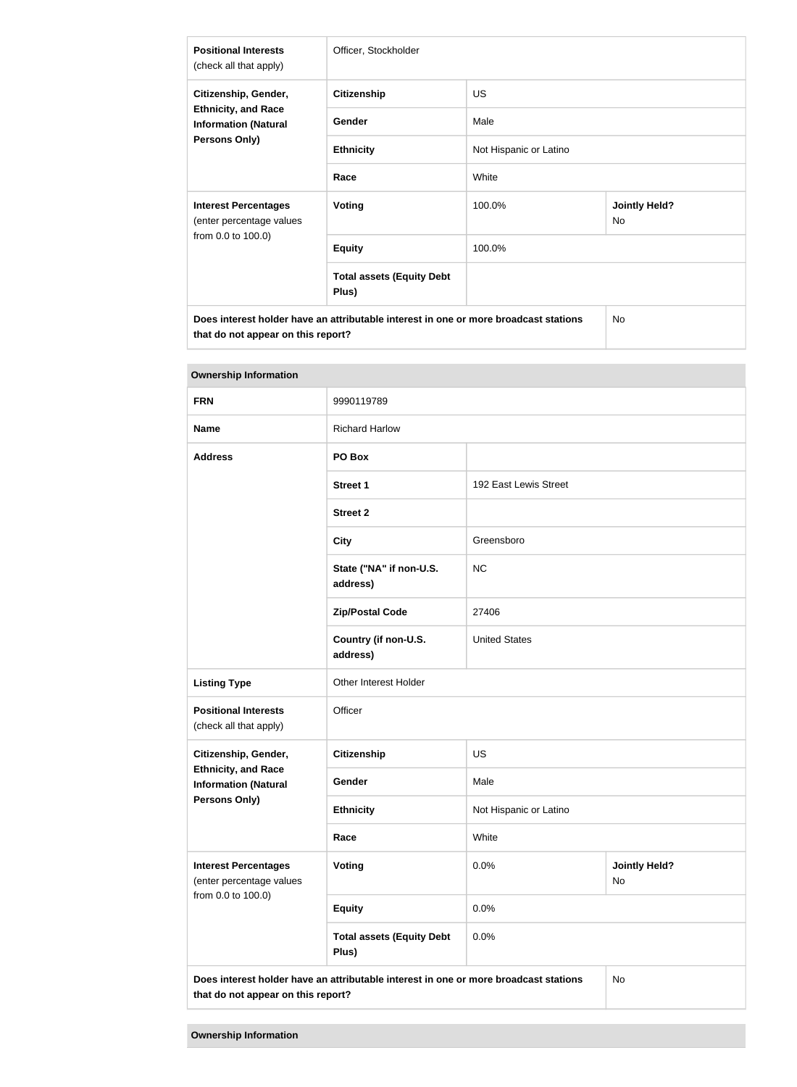| <b>Positional Interests</b><br>(check all that apply)     | Officer, Stockholder                                                                 |                        |                            |
|-----------------------------------------------------------|--------------------------------------------------------------------------------------|------------------------|----------------------------|
| Citizenship, Gender,                                      | <b>Citizenship</b>                                                                   | <b>US</b>              |                            |
| <b>Ethnicity, and Race</b><br><b>Information (Natural</b> | Gender                                                                               | Male                   |                            |
| <b>Persons Only)</b>                                      | <b>Ethnicity</b>                                                                     | Not Hispanic or Latino |                            |
|                                                           | Race                                                                                 | White                  |                            |
| <b>Interest Percentages</b><br>(enter percentage values   | <b>Voting</b>                                                                        | 100.0%                 | <b>Jointly Held?</b><br>No |
| from 0.0 to 100.0)                                        | <b>Equity</b>                                                                        | 100.0%                 |                            |
|                                                           | <b>Total assets (Equity Debt</b><br>Plus)                                            |                        |                            |
|                                                           | Does interest holder have an attributable interest in one or more broadcast stations |                        | <b>No</b>                  |

**Ownership Information FRN** 9990119789 **Name** Richard Harlow **Address PO Box Street 1** 192 East Lewis Street **Street 2 City** Greensboro **State ("NA" if non-U.S. address)** NC **Zip/Postal Code** 27406 **Country (if non-U.S. address)** United States Listing Type **Conservation** Other Interest Holder **Positional Interests** (check all that apply) **Officer Citizenship, Gender, Ethnicity, and Race Information (Natural Persons Only) Citizenship** US Gender Male **Ethnicity** Not Hispanic or Latino **Race** White **Interest Percentages** (enter percentage values from 0.0 to 100.0) **Voting Voting Definitive of**  $\begin{array}{c} 0.0\% \\ 0.0\% \end{array}$  **<b>Jointly Held?** No **Equity** 0.0% **Total assets (Equity Debt Plus)** 0.0% **Does interest holder have an attributable interest in one or more broadcast stations**  No

**that do not appear on this report?**

**that do not appear on this report?**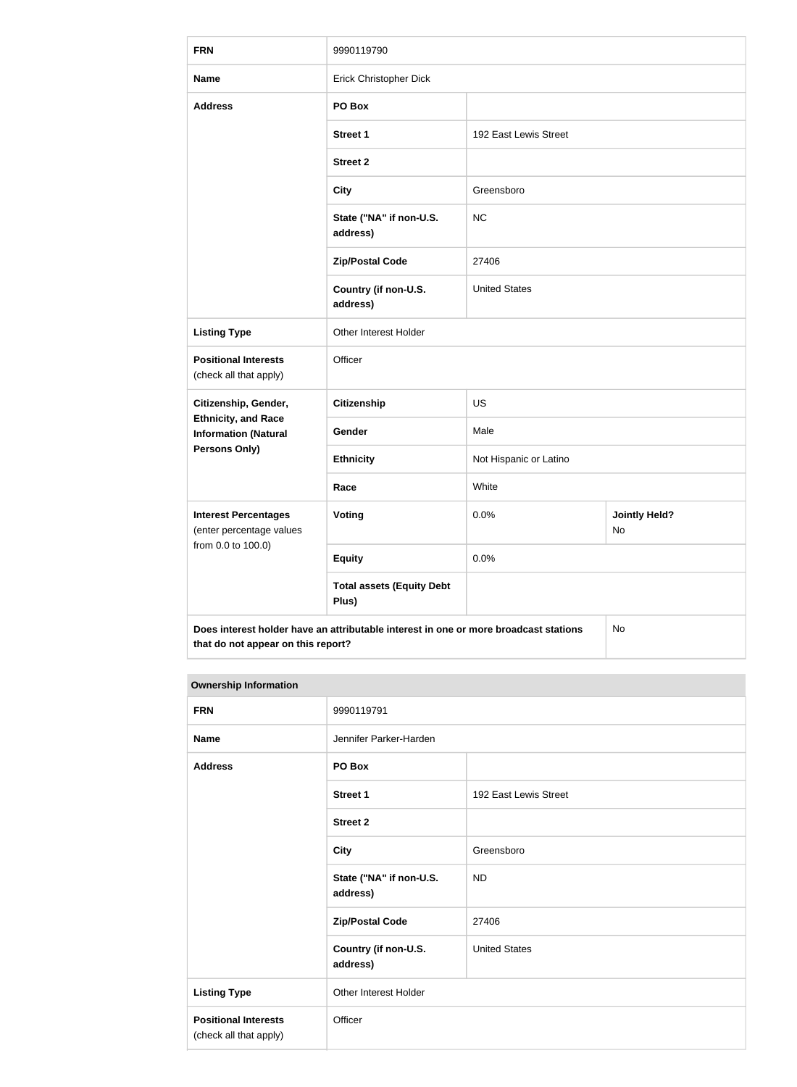| <b>FRN</b>                                                | 9990119790                                                                           |                        |                            |
|-----------------------------------------------------------|--------------------------------------------------------------------------------------|------------------------|----------------------------|
| <b>Name</b>                                               | Erick Christopher Dick                                                               |                        |                            |
| <b>Address</b>                                            | PO Box                                                                               |                        |                            |
|                                                           | <b>Street 1</b>                                                                      | 192 East Lewis Street  |                            |
|                                                           | <b>Street 2</b>                                                                      |                        |                            |
|                                                           | <b>City</b>                                                                          | Greensboro             |                            |
|                                                           | State ("NA" if non-U.S.<br>address)                                                  | <b>NC</b>              |                            |
|                                                           | <b>Zip/Postal Code</b>                                                               | 27406                  |                            |
|                                                           | Country (if non-U.S.<br>address)                                                     | <b>United States</b>   |                            |
| <b>Listing Type</b>                                       | Other Interest Holder                                                                |                        |                            |
| <b>Positional Interests</b><br>(check all that apply)     | Officer                                                                              |                        |                            |
| Citizenship, Gender,                                      | <b>Citizenship</b>                                                                   | <b>US</b>              |                            |
| <b>Ethnicity, and Race</b><br><b>Information (Natural</b> | Gender                                                                               | Male                   |                            |
| <b>Persons Only)</b>                                      | <b>Ethnicity</b>                                                                     | Not Hispanic or Latino |                            |
|                                                           | Race                                                                                 | White                  |                            |
| <b>Interest Percentages</b><br>(enter percentage values   | <b>Voting</b>                                                                        | 0.0%                   | <b>Jointly Held?</b><br>No |
| from 0.0 to 100.0)                                        | <b>Equity</b>                                                                        | 0.0%                   |                            |
|                                                           | <b>Total assets (Equity Debt</b><br>Plus)                                            |                        |                            |
| that do not appear on this report?                        | Does interest holder have an attributable interest in one or more broadcast stations |                        | No                         |

#### **Ownership Information**

| <b>FRN</b>                                            | 9990119791                          |                       |
|-------------------------------------------------------|-------------------------------------|-----------------------|
| <b>Name</b>                                           | Jennifer Parker-Harden              |                       |
| <b>Address</b>                                        | PO Box                              |                       |
|                                                       | <b>Street 1</b>                     | 192 East Lewis Street |
|                                                       | <b>Street 2</b>                     |                       |
|                                                       | <b>City</b>                         | Greensboro            |
|                                                       | State ("NA" if non-U.S.<br>address) | <b>ND</b>             |
|                                                       | <b>Zip/Postal Code</b>              | 27406                 |
|                                                       | Country (if non-U.S.<br>address)    | <b>United States</b>  |
| <b>Listing Type</b>                                   | Other Interest Holder               |                       |
| <b>Positional Interests</b><br>(check all that apply) | Officer                             |                       |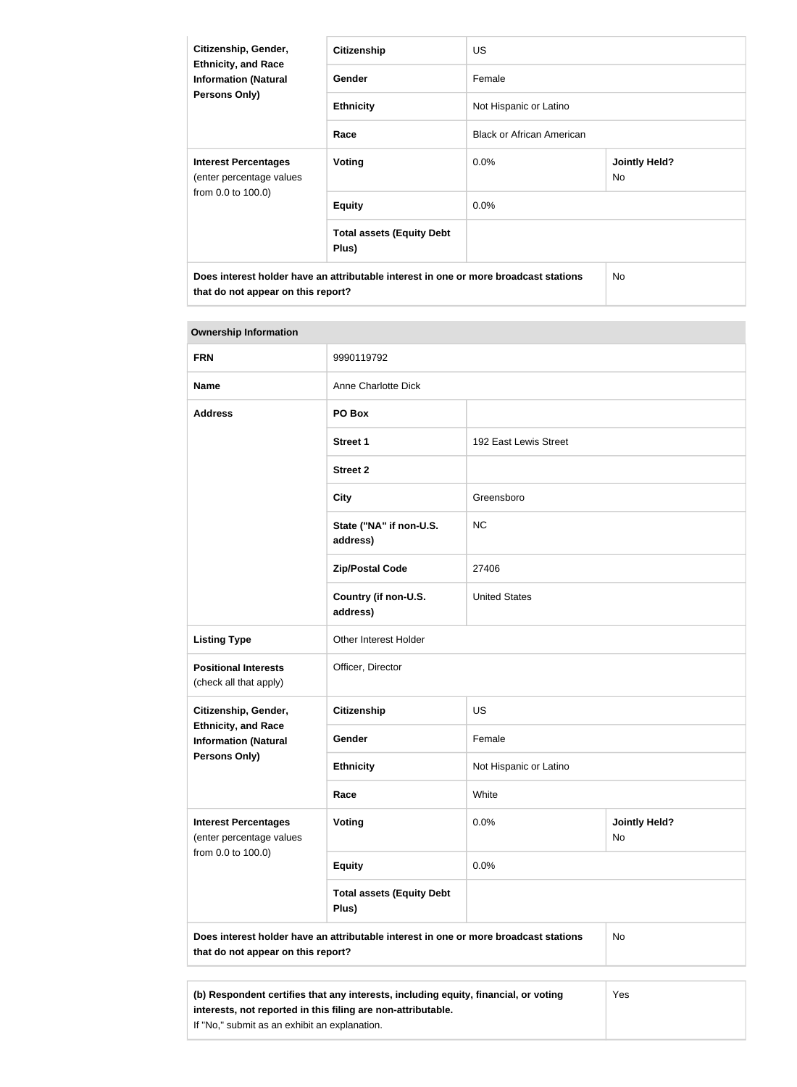| Citizenship, Gender,                                      | <b>Citizenship</b>                                                                   | <b>US</b>                        |                            |
|-----------------------------------------------------------|--------------------------------------------------------------------------------------|----------------------------------|----------------------------|
| <b>Ethnicity, and Race</b><br><b>Information (Natural</b> | Gender                                                                               | Female                           |                            |
| Persons Only)                                             | <b>Ethnicity</b>                                                                     | Not Hispanic or Latino           |                            |
|                                                           | Race                                                                                 | <b>Black or African American</b> |                            |
| <b>Interest Percentages</b><br>(enter percentage values   | Voting                                                                               | $0.0\%$                          | <b>Jointly Held?</b><br>No |
| from 0.0 to 100.0)                                        | <b>Equity</b>                                                                        | $0.0\%$                          |                            |
|                                                           | <b>Total assets (Equity Debt</b><br>Plus)                                            |                                  |                            |
| that do not appear on this report?                        | Does interest holder have an attributable interest in one or more broadcast stations |                                  | No.                        |

| <b>Ownership Information</b>                              |                                                                                      |                        |                            |
|-----------------------------------------------------------|--------------------------------------------------------------------------------------|------------------------|----------------------------|
| <b>FRN</b>                                                | 9990119792                                                                           |                        |                            |
| <b>Name</b>                                               | Anne Charlotte Dick                                                                  |                        |                            |
| <b>Address</b>                                            | PO Box                                                                               |                        |                            |
|                                                           | <b>Street 1</b>                                                                      | 192 East Lewis Street  |                            |
|                                                           | <b>Street 2</b>                                                                      |                        |                            |
|                                                           | <b>City</b>                                                                          | Greensboro             |                            |
|                                                           | State ("NA" if non-U.S.<br>address)                                                  | <b>NC</b>              |                            |
|                                                           | <b>Zip/Postal Code</b>                                                               | 27406                  |                            |
|                                                           | Country (if non-U.S.<br>address)                                                     | <b>United States</b>   |                            |
| <b>Listing Type</b>                                       | Other Interest Holder                                                                |                        |                            |
| <b>Positional Interests</b><br>(check all that apply)     | Officer, Director                                                                    |                        |                            |
| Citizenship, Gender,                                      | Citizenship                                                                          | <b>US</b>              |                            |
| <b>Ethnicity, and Race</b><br><b>Information (Natural</b> | Gender                                                                               | Female                 |                            |
| <b>Persons Only)</b>                                      | <b>Ethnicity</b>                                                                     | Not Hispanic or Latino |                            |
|                                                           | Race                                                                                 | White                  |                            |
| <b>Interest Percentages</b><br>(enter percentage values   | <b>Voting</b>                                                                        | 0.0%                   | <b>Jointly Held?</b><br>No |
| from 0.0 to 100.0)                                        | <b>Equity</b>                                                                        | 0.0%                   |                            |
|                                                           | <b>Total assets (Equity Debt</b><br>Plus)                                            |                        |                            |
| that do not appear on this report?                        | Does interest holder have an attributable interest in one or more broadcast stations |                        | No                         |
|                                                           |                                                                                      |                        |                            |

| (b) Respondent certifies that any interests, including equity, financial, or voting | Yes |  |
|-------------------------------------------------------------------------------------|-----|--|
| interests, not reported in this filing are non-attributable.                        |     |  |
| If "No," submit as an exhibit an explanation.                                       |     |  |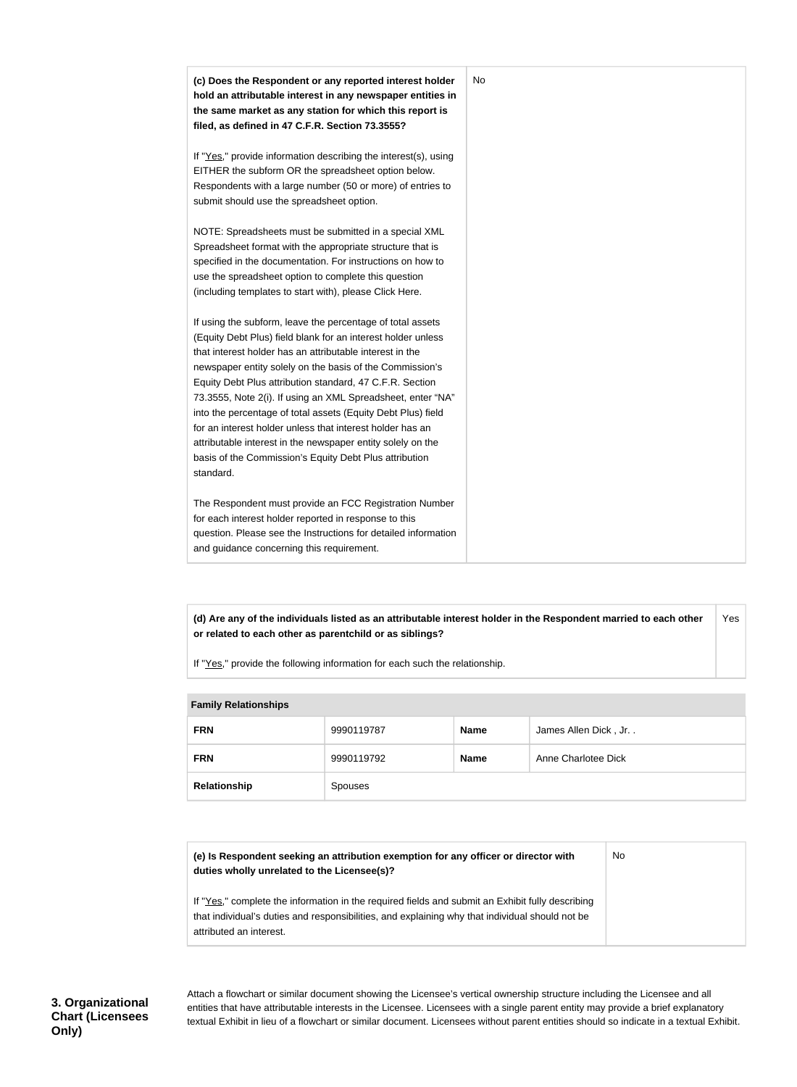| (c) Does the Respondent or any reported interest holder<br>hold an attributable interest in any newspaper entities in     | No |
|---------------------------------------------------------------------------------------------------------------------------|----|
| the same market as any station for which this report is<br>filed, as defined in 47 C.F.R. Section 73.3555?                |    |
|                                                                                                                           |    |
| If "Yes," provide information describing the interest(s), using                                                           |    |
| EITHER the subform OR the spreadsheet option below.                                                                       |    |
| Respondents with a large number (50 or more) of entries to                                                                |    |
| submit should use the spreadsheet option.                                                                                 |    |
| NOTE: Spreadsheets must be submitted in a special XML                                                                     |    |
| Spreadsheet format with the appropriate structure that is                                                                 |    |
| specified in the documentation. For instructions on how to                                                                |    |
| use the spreadsheet option to complete this question                                                                      |    |
| (including templates to start with), please Click Here.                                                                   |    |
| If using the subform, leave the percentage of total assets                                                                |    |
| (Equity Debt Plus) field blank for an interest holder unless                                                              |    |
| that interest holder has an attributable interest in the                                                                  |    |
| newspaper entity solely on the basis of the Commission's                                                                  |    |
| Equity Debt Plus attribution standard, 47 C.F.R. Section                                                                  |    |
| 73.3555, Note 2(i). If using an XML Spreadsheet, enter "NA"                                                               |    |
| into the percentage of total assets (Equity Debt Plus) field<br>for an interest holder unless that interest holder has an |    |
| attributable interest in the newspaper entity solely on the                                                               |    |
| basis of the Commission's Equity Debt Plus attribution                                                                    |    |
| standard.                                                                                                                 |    |
| The Respondent must provide an FCC Registration Number                                                                    |    |
| for each interest holder reported in response to this                                                                     |    |
| question. Please see the Instructions for detailed information                                                            |    |
| and guidance concerning this requirement.                                                                                 |    |

**(d) Are any of the individuals listed as an attributable interest holder in the Respondent married to each other or related to each other as parentchild or as siblings?** Yes

If "Yes," provide the following information for each such the relationship.

| <b>Family Relationships</b> |                |             |                      |
|-----------------------------|----------------|-------------|----------------------|
| <b>FRN</b>                  | 9990119787     | <b>Name</b> | James Allen Dick, Jr |
| <b>FRN</b>                  | 9990119792     | <b>Name</b> | Anne Charlotee Dick  |
| Relationship                | <b>Spouses</b> |             |                      |

| (e) Is Respondent seeking an attribution exemption for any officer or director with<br>duties wholly unrelated to the Licensee(s)?                                                                                             | No. |
|--------------------------------------------------------------------------------------------------------------------------------------------------------------------------------------------------------------------------------|-----|
| If "Yes," complete the information in the required fields and submit an Exhibit fully describing<br>that individual's duties and responsibilities, and explaining why that individual should not be<br>attributed an interest. |     |

**3. Organizational Chart (Licensees Only)**

Attach a flowchart or similar document showing the Licensee's vertical ownership structure including the Licensee and all entities that have attributable interests in the Licensee. Licensees with a single parent entity may provide a brief explanatory textual Exhibit in lieu of a flowchart or similar document. Licensees without parent entities should so indicate in a textual Exhibit.